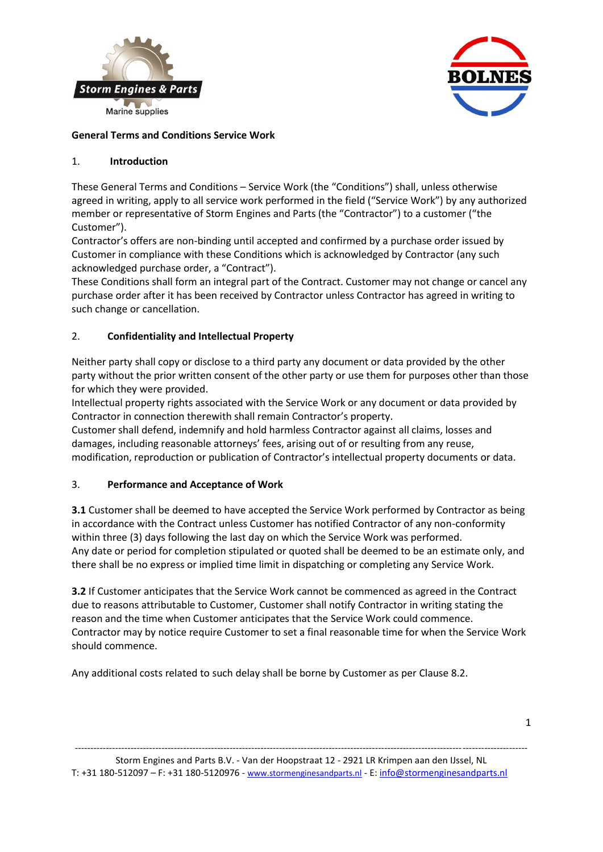



## **General Terms and Conditions Service Work**

## 1. **Introduction**

These General Terms and Conditions – Service Work (the "Conditions") shall, unless otherwise agreed in writing, apply to all service work performed in the field ("Service Work") by any authorized member or representative of Storm Engines and Parts (the "Contractor") to a customer ("the Customer").

Contractor's offers are non-binding until accepted and confirmed by a purchase order issued by Customer in compliance with these Conditions which is acknowledged by Contractor (any such acknowledged purchase order, a "Contract").

These Conditions shall form an integral part of the Contract. Customer may not change or cancel any purchase order after it has been received by Contractor unless Contractor has agreed in writing to such change or cancellation.

## 2. **Confidentiality and Intellectual Property**

Neither party shall copy or disclose to a third party any document or data provided by the other party without the prior written consent of the other party or use them for purposes other than those for which they were provided.

Intellectual property rights associated with the Service Work or any document or data provided by Contractor in connection therewith shall remain Contractor's property.

Customer shall defend, indemnify and hold harmless Contractor against all claims, losses and damages, including reasonable attorneys' fees, arising out of or resulting from any reuse, modification, reproduction or publication of Contractor's intellectual property documents or data.

### 3. **Performance and Acceptance of Work**

**3.1** Customer shall be deemed to have accepted the Service Work performed by Contractor as being in accordance with the Contract unless Customer has notified Contractor of any non-conformity within three (3) days following the last day on which the Service Work was performed. Any date or period for completion stipulated or quoted shall be deemed to be an estimate only, and there shall be no express or implied time limit in dispatching or completing any Service Work.

**3.2** If Customer anticipates that the Service Work cannot be commenced as agreed in the Contract due to reasons attributable to Customer, Customer shall notify Contractor in writing stating the reason and the time when Customer anticipates that the Service Work could commence. Contractor may by notice require Customer to set a final reasonable time for when the Service Work should commence.

Any additional costs related to such delay shall be borne by Customer as per Clause 8.2.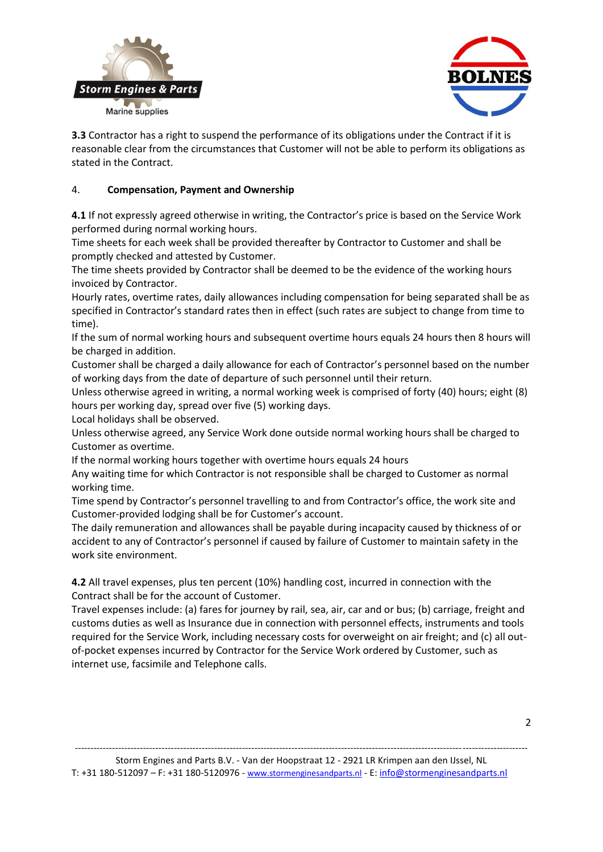



**3.3** Contractor has a right to suspend the performance of its obligations under the Contract if it is reasonable clear from the circumstances that Customer will not be able to perform its obligations as stated in the Contract.

## 4. **Compensation, Payment and Ownership**

**4.1** If not expressly agreed otherwise in writing, the Contractor's price is based on the Service Work performed during normal working hours.

Time sheets for each week shall be provided thereafter by Contractor to Customer and shall be promptly checked and attested by Customer.

The time sheets provided by Contractor shall be deemed to be the evidence of the working hours invoiced by Contractor.

Hourly rates, overtime rates, daily allowances including compensation for being separated shall be as specified in Contractor's standard rates then in effect (such rates are subject to change from time to time).

If the sum of normal working hours and subsequent overtime hours equals 24 hours then 8 hours will be charged in addition.

Customer shall be charged a daily allowance for each of Contractor's personnel based on the number of working days from the date of departure of such personnel until their return.

Unless otherwise agreed in writing, a normal working week is comprised of forty (40) hours; eight (8) hours per working day, spread over five (5) working days.

Local holidays shall be observed.

Unless otherwise agreed, any Service Work done outside normal working hours shall be charged to Customer as overtime.

If the normal working hours together with overtime hours equals 24 hours

Any waiting time for which Contractor is not responsible shall be charged to Customer as normal working time.

Time spend by Contractor's personnel travelling to and from Contractor's office, the work site and Customer-provided lodging shall be for Customer's account.

The daily remuneration and allowances shall be payable during incapacity caused by thickness of or accident to any of Contractor's personnel if caused by failure of Customer to maintain safety in the work site environment.

**4.2** All travel expenses, plus ten percent (10%) handling cost, incurred in connection with the Contract shall be for the account of Customer.

Travel expenses include: (a) fares for journey by rail, sea, air, car and or bus; (b) carriage, freight and customs duties as well as Insurance due in connection with personnel effects, instruments and tools required for the Service Work, including necessary costs for overweight on air freight; and (c) all outof-pocket expenses incurred by Contractor for the Service Work ordered by Customer, such as internet use, facsimile and Telephone calls.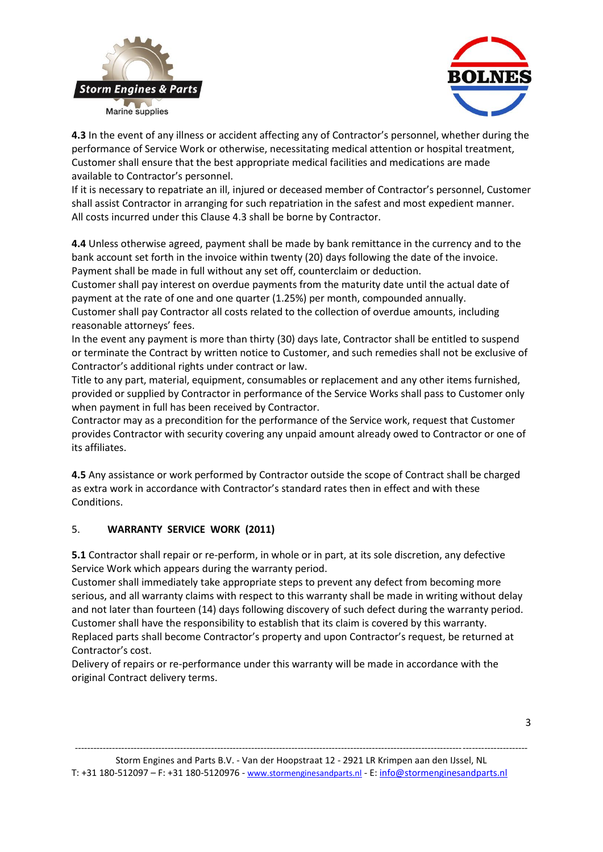



**4.3** In the event of any illness or accident affecting any of Contractor's personnel, whether during the performance of Service Work or otherwise, necessitating medical attention or hospital treatment, Customer shall ensure that the best appropriate medical facilities and medications are made available to Contractor's personnel.

If it is necessary to repatriate an ill, injured or deceased member of Contractor's personnel, Customer shall assist Contractor in arranging for such repatriation in the safest and most expedient manner. All costs incurred under this Clause 4.3 shall be borne by Contractor.

**4.4** Unless otherwise agreed, payment shall be made by bank remittance in the currency and to the bank account set forth in the invoice within twenty (20) days following the date of the invoice. Payment shall be made in full without any set off, counterclaim or deduction.

Customer shall pay interest on overdue payments from the maturity date until the actual date of payment at the rate of one and one quarter (1.25%) per month, compounded annually. Customer shall pay Contractor all costs related to the collection of overdue amounts, including

reasonable attorneys' fees.

In the event any payment is more than thirty (30) days late, Contractor shall be entitled to suspend or terminate the Contract by written notice to Customer, and such remedies shall not be exclusive of Contractor's additional rights under contract or law.

Title to any part, material, equipment, consumables or replacement and any other items furnished, provided or supplied by Contractor in performance of the Service Works shall pass to Customer only when payment in full has been received by Contractor.

Contractor may as a precondition for the performance of the Service work, request that Customer provides Contractor with security covering any unpaid amount already owed to Contractor or one of its affiliates.

**4.5** Any assistance or work performed by Contractor outside the scope of Contract shall be charged as extra work in accordance with Contractor's standard rates then in effect and with these Conditions.

### 5. **WARRANTY SERVICE WORK (2011)**

**5.1** Contractor shall repair or re-perform, in whole or in part, at its sole discretion, any defective Service Work which appears during the warranty period.

Customer shall immediately take appropriate steps to prevent any defect from becoming more serious, and all warranty claims with respect to this warranty shall be made in writing without delay and not later than fourteen (14) days following discovery of such defect during the warranty period. Customer shall have the responsibility to establish that its claim is covered by this warranty. Replaced parts shall become Contractor's property and upon Contractor's request, be returned at Contractor's cost.

Delivery of repairs or re-performance under this warranty will be made in accordance with the original Contract delivery terms.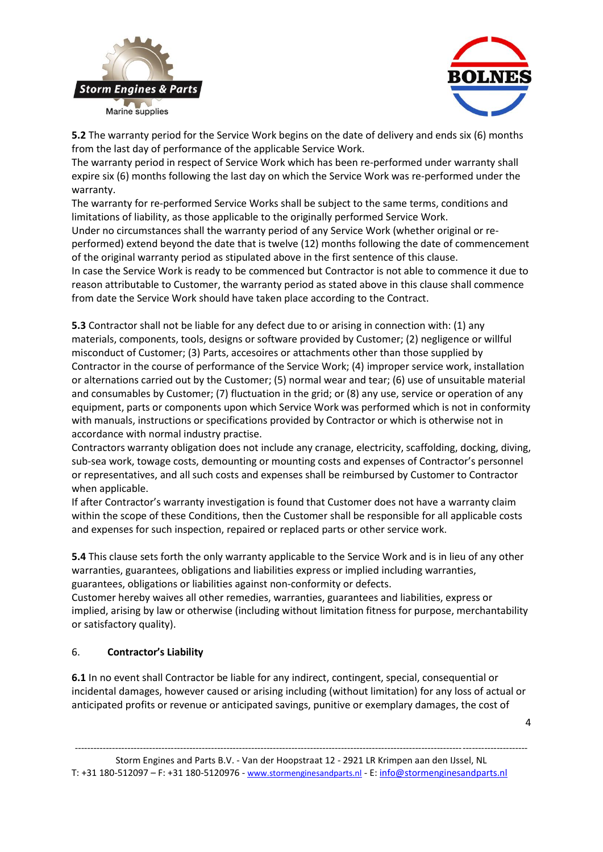



**5.2** The warranty period for the Service Work begins on the date of delivery and ends six (6) months from the last day of performance of the applicable Service Work.

The warranty period in respect of Service Work which has been re-performed under warranty shall expire six (6) months following the last day on which the Service Work was re-performed under the warranty.

The warranty for re-performed Service Works shall be subject to the same terms, conditions and limitations of liability, as those applicable to the originally performed Service Work.

Under no circumstances shall the warranty period of any Service Work (whether original or reperformed) extend beyond the date that is twelve (12) months following the date of commencement of the original warranty period as stipulated above in the first sentence of this clause.

In case the Service Work is ready to be commenced but Contractor is not able to commence it due to reason attributable to Customer, the warranty period as stated above in this clause shall commence from date the Service Work should have taken place according to the Contract.

**5.3** Contractor shall not be liable for any defect due to or arising in connection with: (1) any materials, components, tools, designs or software provided by Customer; (2) negligence or willful misconduct of Customer; (3) Parts, accesoires or attachments other than those supplied by Contractor in the course of performance of the Service Work; (4) improper service work, installation or alternations carried out by the Customer; (5) normal wear and tear; (6) use of unsuitable material and consumables by Customer; (7) fluctuation in the grid; or (8) any use, service or operation of any equipment, parts or components upon which Service Work was performed which is not in conformity with manuals, instructions or specifications provided by Contractor or which is otherwise not in accordance with normal industry practise.

Contractors warranty obligation does not include any cranage, electricity, scaffolding, docking, diving, sub-sea work, towage costs, demounting or mounting costs and expenses of Contractor's personnel or representatives, and all such costs and expenses shall be reimbursed by Customer to Contractor when applicable.

If after Contractor's warranty investigation is found that Customer does not have a warranty claim within the scope of these Conditions, then the Customer shall be responsible for all applicable costs and expenses for such inspection, repaired or replaced parts or other service work.

**5.4** This clause sets forth the only warranty applicable to the Service Work and is in lieu of any other warranties, guarantees, obligations and liabilities express or implied including warranties, guarantees, obligations or liabilities against non-conformity or defects.

Customer hereby waives all other remedies, warranties, guarantees and liabilities, express or implied, arising by law or otherwise (including without limitation fitness for purpose, merchantability or satisfactory quality).

# 6. **Contractor's Liability**

**6.1** In no event shall Contractor be liable for any indirect, contingent, special, consequential or incidental damages, however caused or arising including (without limitation) for any loss of actual or anticipated profits or revenue or anticipated savings, punitive or exemplary damages, the cost of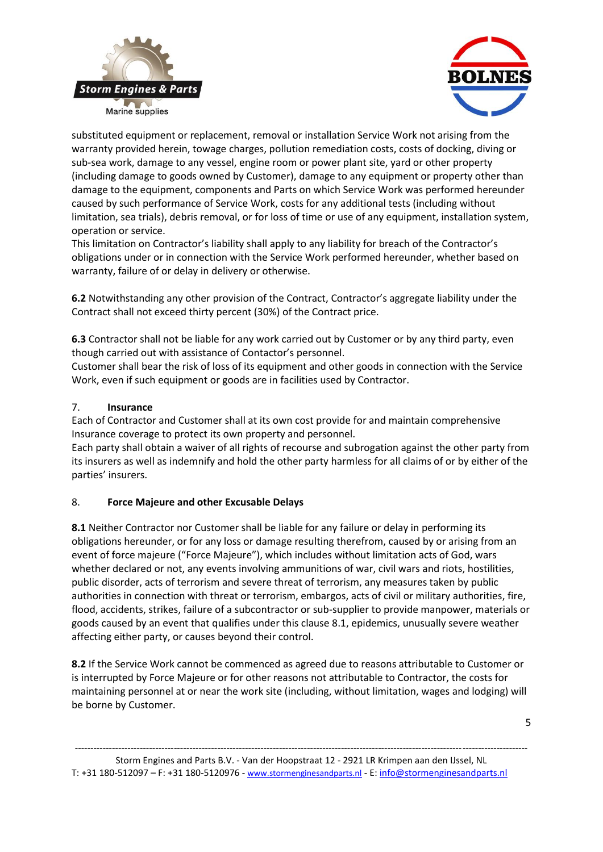



substituted equipment or replacement, removal or installation Service Work not arising from the warranty provided herein, towage charges, pollution remediation costs, costs of docking, diving or sub-sea work, damage to any vessel, engine room or power plant site, yard or other property (including damage to goods owned by Customer), damage to any equipment or property other than damage to the equipment, components and Parts on which Service Work was performed hereunder caused by such performance of Service Work, costs for any additional tests (including without limitation, sea trials), debris removal, or for loss of time or use of any equipment, installation system, operation or service.

This limitation on Contractor's liability shall apply to any liability for breach of the Contractor's obligations under or in connection with the Service Work performed hereunder, whether based on warranty, failure of or delay in delivery or otherwise.

**6.2** Notwithstanding any other provision of the Contract, Contractor's aggregate liability under the Contract shall not exceed thirty percent (30%) of the Contract price.

**6.3** Contractor shall not be liable for any work carried out by Customer or by any third party, even though carried out with assistance of Contactor's personnel.

Customer shall bear the risk of loss of its equipment and other goods in connection with the Service Work, even if such equipment or goods are in facilities used by Contractor.

#### 7. **Insurance**

Each of Contractor and Customer shall at its own cost provide for and maintain comprehensive Insurance coverage to protect its own property and personnel.

Each party shall obtain a waiver of all rights of recourse and subrogation against the other party from its insurers as well as indemnify and hold the other party harmless for all claims of or by either of the parties' insurers.

### 8. **Force Majeure and other Excusable Delays**

**8.1** Neither Contractor nor Customer shall be liable for any failure or delay in performing its obligations hereunder, or for any loss or damage resulting therefrom, caused by or arising from an event of force majeure ("Force Majeure"), which includes without limitation acts of God, wars whether declared or not, any events involving ammunitions of war, civil wars and riots, hostilities, public disorder, acts of terrorism and severe threat of terrorism, any measures taken by public authorities in connection with threat or terrorism, embargos, acts of civil or military authorities, fire, flood, accidents, strikes, failure of a subcontractor or sub-supplier to provide manpower, materials or goods caused by an event that qualifies under this clause 8.1, epidemics, unusually severe weather affecting either party, or causes beyond their control.

**8.2** If the Service Work cannot be commenced as agreed due to reasons attributable to Customer or is interrupted by Force Majeure or for other reasons not attributable to Contractor, the costs for maintaining personnel at or near the work site (including, without limitation, wages and lodging) will be borne by Customer.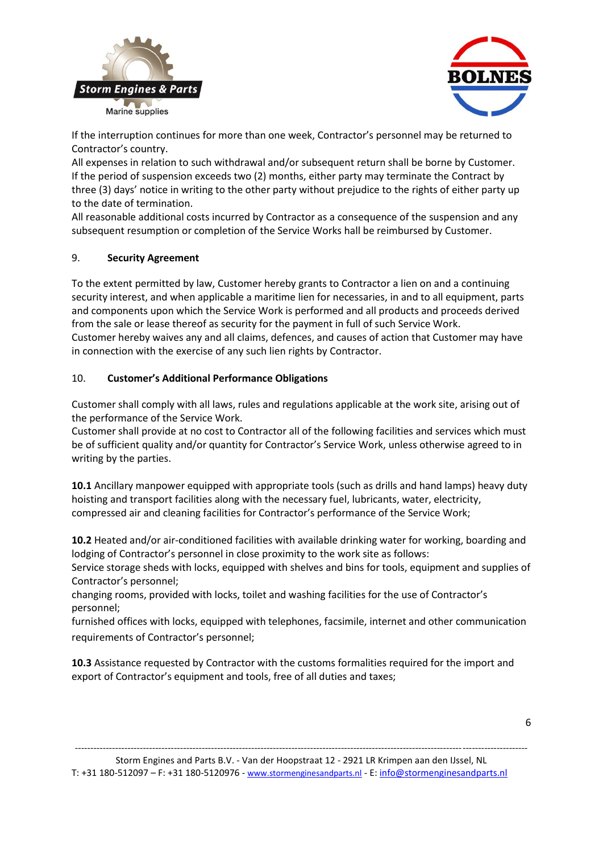



If the interruption continues for more than one week, Contractor's personnel may be returned to Contractor's country.

All expenses in relation to such withdrawal and/or subsequent return shall be borne by Customer. If the period of suspension exceeds two (2) months, either party may terminate the Contract by three (3) days' notice in writing to the other party without prejudice to the rights of either party up to the date of termination.

All reasonable additional costs incurred by Contractor as a consequence of the suspension and any subsequent resumption or completion of the Service Works hall be reimbursed by Customer.

### 9. **Security Agreement**

To the extent permitted by law, Customer hereby grants to Contractor a lien on and a continuing security interest, and when applicable a maritime lien for necessaries, in and to all equipment, parts and components upon which the Service Work is performed and all products and proceeds derived from the sale or lease thereof as security for the payment in full of such Service Work. Customer hereby waives any and all claims, defences, and causes of action that Customer may have in connection with the exercise of any such lien rights by Contractor.

### 10. **Customer's Additional Performance Obligations**

Customer shall comply with all laws, rules and regulations applicable at the work site, arising out of the performance of the Service Work.

Customer shall provide at no cost to Contractor all of the following facilities and services which must be of sufficient quality and/or quantity for Contractor's Service Work, unless otherwise agreed to in writing by the parties.

**10.1** Ancillary manpower equipped with appropriate tools (such as drills and hand lamps) heavy duty hoisting and transport facilities along with the necessary fuel, lubricants, water, electricity, compressed air and cleaning facilities for Contractor's performance of the Service Work;

**10.2** Heated and/or air-conditioned facilities with available drinking water for working, boarding and lodging of Contractor's personnel in close proximity to the work site as follows:

Service storage sheds with locks, equipped with shelves and bins for tools, equipment and supplies of Contractor's personnel;

changing rooms, provided with locks, toilet and washing facilities for the use of Contractor's personnel;

furnished offices with locks, equipped with telephones, facsimile, internet and other communication requirements of Contractor's personnel;

**10.3** Assistance requested by Contractor with the customs formalities required for the import and export of Contractor's equipment and tools, free of all duties and taxes;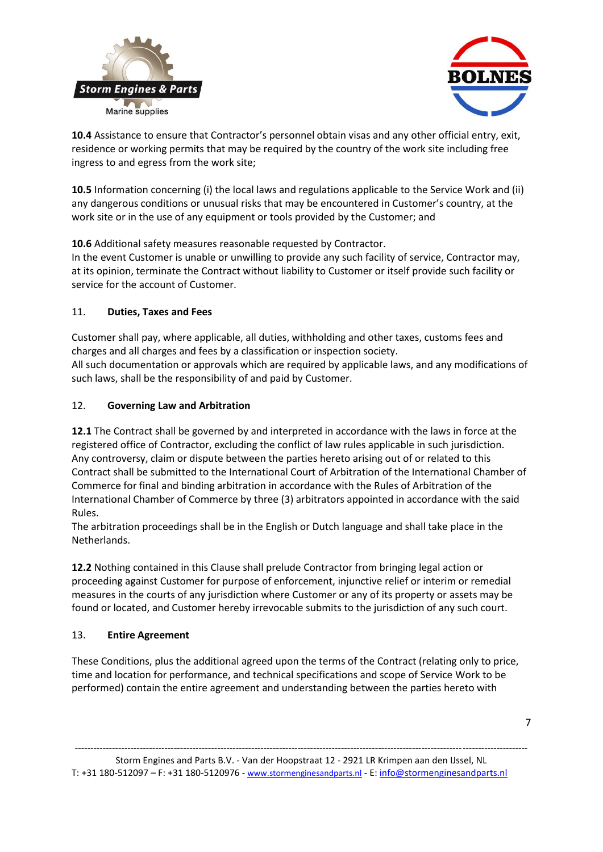



**10.4** Assistance to ensure that Contractor's personnel obtain visas and any other official entry, exit, residence or working permits that may be required by the country of the work site including free ingress to and egress from the work site;

**10.5** Information concerning (i) the local laws and regulations applicable to the Service Work and (ii) any dangerous conditions or unusual risks that may be encountered in Customer's country, at the work site or in the use of any equipment or tools provided by the Customer; and

**10.6** Additional safety measures reasonable requested by Contractor.

In the event Customer is unable or unwilling to provide any such facility of service, Contractor may, at its opinion, terminate the Contract without liability to Customer or itself provide such facility or service for the account of Customer.

## 11. **Duties, Taxes and Fees**

Customer shall pay, where applicable, all duties, withholding and other taxes, customs fees and charges and all charges and fees by a classification or inspection society. All such documentation or approvals which are required by applicable laws, and any modifications of such laws, shall be the responsibility of and paid by Customer.

## 12. **Governing Law and Arbitration**

**12.1** The Contract shall be governed by and interpreted in accordance with the laws in force at the registered office of Contractor, excluding the conflict of law rules applicable in such jurisdiction. Any controversy, claim or dispute between the parties hereto arising out of or related to this Contract shall be submitted to the International Court of Arbitration of the International Chamber of Commerce for final and binding arbitration in accordance with the Rules of Arbitration of the International Chamber of Commerce by three (3) arbitrators appointed in accordance with the said Rules.

The arbitration proceedings shall be in the English or Dutch language and shall take place in the Netherlands.

**12.2** Nothing contained in this Clause shall prelude Contractor from bringing legal action or proceeding against Customer for purpose of enforcement, injunctive relief or interim or remedial measures in the courts of any jurisdiction where Customer or any of its property or assets may be found or located, and Customer hereby irrevocable submits to the jurisdiction of any such court.

# 13. **Entire Agreement**

These Conditions, plus the additional agreed upon the terms of the Contract (relating only to price, time and location for performance, and technical specifications and scope of Service Work to be performed) contain the entire agreement and understanding between the parties hereto with